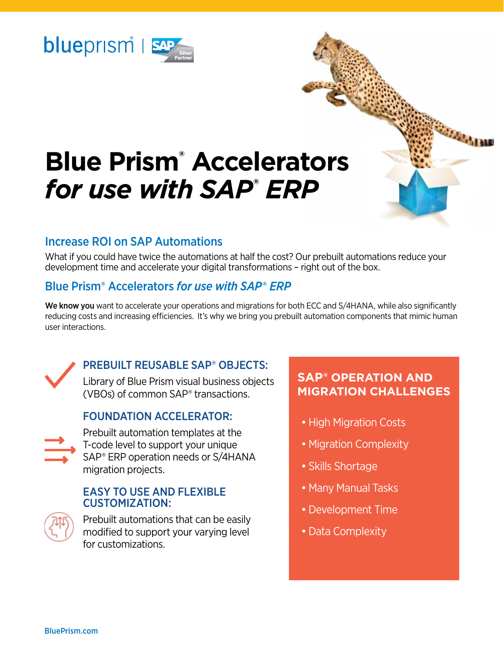

# **Blue Prism® Accelerators**  *for use with SAP***®** *ERP*

#### Increase ROI on SAP Automations

What if you could have twice the automations at half the cost? Our prebuilt automations reduce your development time and accelerate your digital transformations – right out of the box.

## Blue Prism® Accelerators *for use with SAP*® *ERP*

We know you want to accelerate your operations and migrations for both ECC and S/4HANA, while also significantly reducing costs and increasing efficiencies. It's why we bring you prebuilt automation components that mimic human user interactions.



## PREBUILT REUSABLE SAP® OBJECTS:

Library of Blue Prism visual business objects (VBOs) of common SAP® transactions.

#### FOUNDATION ACCELERATOR:



Prebuilt automation templates at the T-code level to support your unique SAP® ERP operation needs or S/4HANA migration projects.

#### EASY TO USE AND FLEXIBLE CUSTOMIZATION:



Prebuilt automations that can be easily modified to support your varying level for customizations.

## $\mathsf{SAP}^\circ$  OPERATION AND **MIGRATION CHALLENGES**

*CARACTERS* 

- High Migration Costs
- Migration Complexity
- Skills Shortage
- Many Manual Tasks
- •Development Time
- •Data Complexity